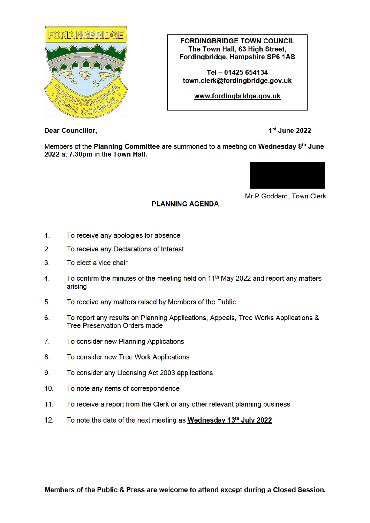

**FORDINGBRIDGE TOWN COUNCIL** The Town Hall, 63 High Street, Fordingbridge, Hampshire SP6 1AS

Tel - 01425 654134 town.clerk@fordinabridae.aov.uk

www.fordingbridge.gov.uk

**Dear Councillor,** 

1st June 2022

Members of the Planning Committee are summoned to a meeting on Wednesday 8<sup>th</sup> June 2022 at 7.30pm in the Town Hall.

**PLANNING AGENDA** 



Mr P Goddard, Town Clerk

- $1<sub>1</sub>$ To receive any apologies for absence
- $2<sub>1</sub>$ To receive any Declarations of Interest
- $3<sub>1</sub>$ To elect a vice chair
- To confirm the minutes of the meeting held on 11<sup>th</sup> May 2022 and report any matters  $4.$ arising
- $5<sub>1</sub>$ To receive any matters raised by Members of the Public
- 6. To report any results on Planning Applications, Appeals, Tree Works Applications & **Tree Preservation Orders made**
- $7<sub>1</sub>$ To consider new Planning Applications
- 8. To consider new Tree Work Applications
- $9<sub>1</sub>$ To consider any Licensing Act 2003 applications
- $10<sub>1</sub>$ To note any items of correspondence
- $11.$ To receive a report from the Clerk or any other relevant planning business
- $12.$ To note the date of the next meeting as Wednesday 13th July 2022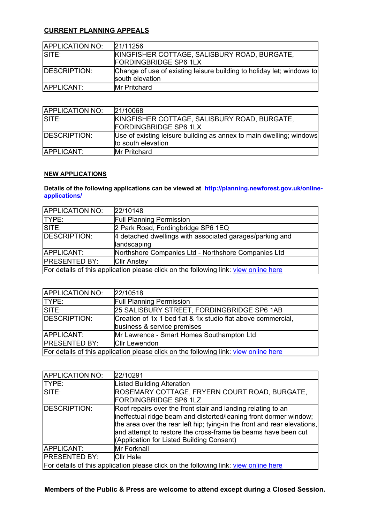## **CURRENT PLANNING APPEALS**

| <b>APPLICATION NO:</b> | 21/11256                                                                                 |
|------------------------|------------------------------------------------------------------------------------------|
| ISITE:                 | KINGFISHER COTTAGE, SALISBURY ROAD, BURGATE,<br><b>FORDINGBRIDGE SP6 1LX</b>             |
| <b>IDESCRIPTION:</b>   | Change of use of existing leisure building to holiday let; windows to<br>south elevation |
| APPLICANT:             | <b>Mr Pritchard</b>                                                                      |

| <b>APPLICATION NO:</b> | 21/10068                                                            |
|------------------------|---------------------------------------------------------------------|
| SITE:                  | KINGFISHER COTTAGE, SALISBURY ROAD, BURGATE,                        |
|                        | <b>FORDINGBRIDGE SP6 1LX</b>                                        |
| <b>IDESCRIPTION:</b>   | Use of existing leisure building as annex to main dwelling; windows |
|                        | to south elevation                                                  |
| <b>APPLICANT:</b>      | <b>Mr Pritchard</b>                                                 |

## **NEW APPLICATIONS**

**Details of the following applications can be viewed at http://planning.newforest.gov.uk/onlineapplications/**

| <b>APPLICATION NO:</b>                                                               | 22/10148                                                                |
|--------------------------------------------------------------------------------------|-------------------------------------------------------------------------|
| TYPE:                                                                                | <b>Full Planning Permission</b>                                         |
| SITE:                                                                                | 2 Park Road, Fordingbridge SP6 1EQ                                      |
| DESCRIPTION:                                                                         | 4 detached dwellings with associated garages/parking and<br>landscaping |
| APPLICANT:                                                                           | Northshore Companies Ltd - Northshore Companies Ltd                     |
| <b>PRESENTED BY:</b>                                                                 | <b>Cllr Anstey</b>                                                      |
| For details of this application please click on the following link: view online here |                                                                         |

| APPLICATION NO:                                                                      | 22/10518                                                     |
|--------------------------------------------------------------------------------------|--------------------------------------------------------------|
| TYPE:                                                                                | <b>Full Planning Permission</b>                              |
| SITE:                                                                                | 25 SALISBURY STREET, FORDINGBRIDGE SP6 1AB                   |
| DESCRIPTION:                                                                         | Creation of 1x 1 bed flat & 1x studio flat above commercial, |
|                                                                                      | business & service premises                                  |
| APPLICANT:                                                                           | Mr Lawrence - Smart Homes Southampton Ltd                    |
| <b>IPRESENTED BY:</b>                                                                | <b>Cllr Lewendon</b>                                         |
| For details of this application please click on the following link: view online here |                                                              |

| APPLICATION NO:                                                                      | 22/10291                                                                                                                                                                                                                                                                                                                     |
|--------------------------------------------------------------------------------------|------------------------------------------------------------------------------------------------------------------------------------------------------------------------------------------------------------------------------------------------------------------------------------------------------------------------------|
| <b>TYPE:</b>                                                                         | <b>Listed Building Alteration</b>                                                                                                                                                                                                                                                                                            |
| SITE:                                                                                | ROSEMARY COTTAGE, FRYERN COURT ROAD, BURGATE,<br>FORDINGBRIDGE SP6 1LZ                                                                                                                                                                                                                                                       |
| <b>DESCRIPTION:</b>                                                                  | Roof repairs over the front stair and landing relating to an<br>ineffectual ridge beam and distorted/leaning front dormer window;<br>the area over the rear left hip; tying-in the front and rear elevations,<br>and attempt to restore the cross-frame tie beams have been cut<br>(Application for Listed Building Consent) |
| APPLICANT:                                                                           | Mr Forknall                                                                                                                                                                                                                                                                                                                  |
| <b>PRESENTED BY:</b>                                                                 | <b>Cllr Hale</b>                                                                                                                                                                                                                                                                                                             |
| For details of this application please click on the following link: view online here |                                                                                                                                                                                                                                                                                                                              |

**Members of the Public & Press are welcome to attend except during a Closed Session.**